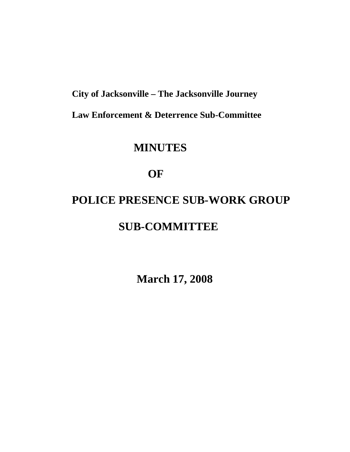**City of Jacksonville – The Jacksonville Journey** 

 **Law Enforcement & Deterrence Sub-Committee** 

# **MINUTES**

# **OF**

# **POLICE PRESENCE SUB-WORK GROUP SUB-COMMITTEE**

**March 17, 2008**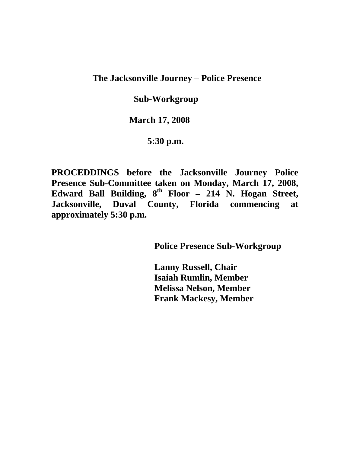# **The Jacksonville Journey – Police Presence**

#### **Sub-Workgroup**

#### **March 17, 2008**

### **5:30 p.m.**

**PROCEDDINGS before the Jacksonville Journey Police Presence Sub-Committee taken on Monday, March 17, 2008, Edward Ball Building, 8th Floor – 214 N. Hogan Street, Jacksonville, Duval County, Florida commencing at approximately 5:30 p.m.** 

 **Police Presence Sub-Workgroup** 

 **Lanny Russell, Chair Isaiah Rumlin, Member Melissa Nelson, Member Frank Mackesy, Member**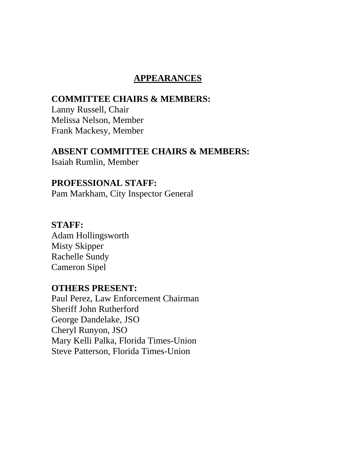# **APPEARANCES**

# **COMMITTEE CHAIRS & MEMBERS:**

Lanny Russell, Chair Melissa Nelson, Member Frank Mackesy, Member

#### **ABSENT COMMITTEE CHAIRS & MEMBERS:**

Isaiah Rumlin, Member

## **PROFESSIONAL STAFF:**

Pam Markham, City Inspector General

### **STAFF:**

Adam Hollingsworth Misty Skipper Rachelle Sundy Cameron Sipel

# **OTHERS PRESENT:**

Paul Perez, Law Enforcement Chairman Sheriff John Rutherford George Dandelake, JSO Cheryl Runyon, JSO Mary Kelli Palka, Florida Times-Union Steve Patterson, Florida Times-Union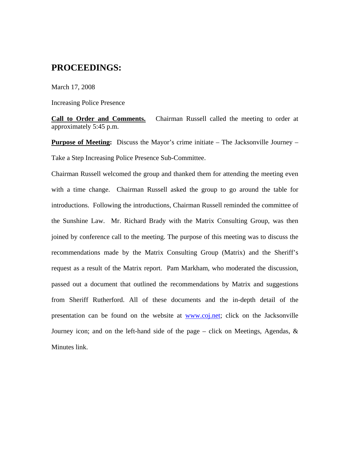#### **PROCEEDINGS:**

March 17, 2008

Increasing Police Presence

**Call to Order and Comments.** Chairman Russell called the meeting to order at approximately 5:45 p.m.

**Purpose of Meeting:** Discuss the Mayor's crime initiate – The Jacksonville Journey – Take a Step Increasing Police Presence Sub-Committee.

Chairman Russell welcomed the group and thanked them for attending the meeting even with a time change. Chairman Russell asked the group to go around the table for introductions. Following the introductions, Chairman Russell reminded the committee of the Sunshine Law. Mr. Richard Brady with the Matrix Consulting Group, was then joined by conference call to the meeting. The purpose of this meeting was to discuss the recommendations made by the Matrix Consulting Group (Matrix) and the Sheriff's request as a result of the Matrix report. Pam Markham, who moderated the discussion, passed out a document that outlined the recommendations by Matrix and suggestions from Sheriff Rutherford. All of these documents and the in-depth detail of the presentation can be found on the website at www.coj.net; click on the Jacksonville Journey icon; and on the left-hand side of the page – click on Meetings, Agendas, & Minutes link.